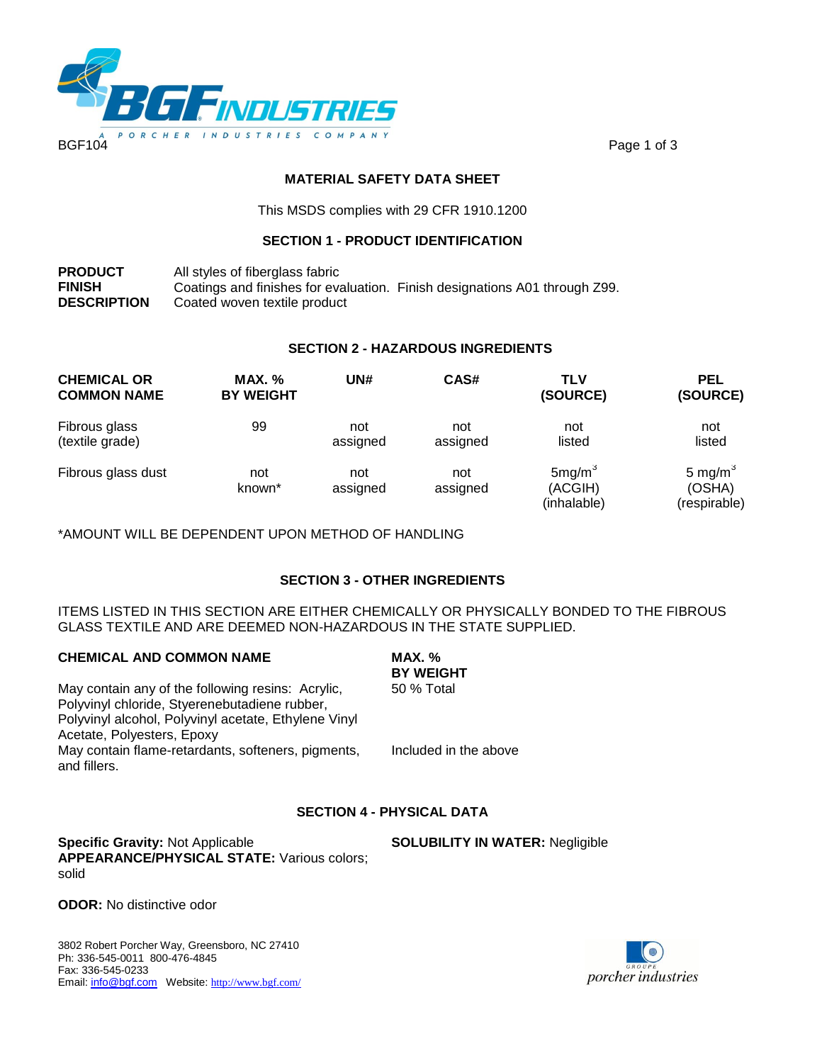

### **MATERIAL SAFETY DATA SHEET**

This MSDS complies with 29 CFR 1910.1200

### **SECTION 1 - PRODUCT IDENTIFICATION**

**PRODUCT** All styles of fiberglass fabric **FINISH** Coatings and finishes for evaluation. Finish designations A01 through Z99.<br>**DESCRIPTION** Coated woven textile product Coated woven textile product

### **SECTION 2 - HAZARDOUS INGREDIENTS**

| <b>CHEMICAL OR</b><br><b>COMMON NAME</b> | <b>MAX.</b> %<br><b>BY WEIGHT</b> | UN#             | CAS#            | <b>TLV</b><br>(SOURCE)                       | <b>PEL</b><br>(SOURCE)               |
|------------------------------------------|-----------------------------------|-----------------|-----------------|----------------------------------------------|--------------------------------------|
| Fibrous glass<br>(textile grade)         | 99                                | not<br>assigned | not<br>assigned | not<br>listed                                | not<br>listed                        |
| Fibrous glass dust                       | not<br>known <sup>*</sup>         | not<br>assigned | not<br>assigned | 5mg/m <sup>3</sup><br>(ACGIH)<br>(inhalable) | 5 mg/m $3$<br>(OSHA)<br>(respirable) |

\*AMOUNT WILL BE DEPENDENT UPON METHOD OF HANDLING

## **SECTION 3 - OTHER INGREDIENTS**

ITEMS LISTED IN THIS SECTION ARE EITHER CHEMICALLY OR PHYSICALLY BONDED TO THE FIBROUS GLASS TEXTILE AND ARE DEEMED NON-HAZARDOUS IN THE STATE SUPPLIED.

| <b>CHEMICAL AND COMMON NAME</b>                                    | MAX. %<br><b>BY WEIGHT</b> |
|--------------------------------------------------------------------|----------------------------|
| May contain any of the following resins: Acrylic,                  | 50 % Total                 |
| Polyvinyl chloride, Styerenebutadiene rubber,                      |                            |
| Polyvinyl alcohol, Polyvinyl acetate, Ethylene Vinyl               |                            |
| Acetate, Polyesters, Epoxy                                         |                            |
| May contain flame-retardants, softeners, pigments,<br>and fillers. | Included in the above      |
|                                                                    |                            |

### **SECTION 4 - PHYSICAL DATA**

**Specific Gravity:** Not Applicable **SOLUBILITY IN WATER:** Negligible **APPEARANCE/PHYSICAL STATE:** Various colors; solid

**ODOR:** No distinctive odor

3802 Robert Porcher Way, Greensboro, NC 27410 Ph: 336-545-0011 800-476-4845 Fax: 336-545-0233 rax. 330-343-0233<br>Email: <u>info@bgf.com</u> Website: <u><http://www.bgf.com/></u><br>Comparations and the process of the process of the process of the process of the process of the process of the p

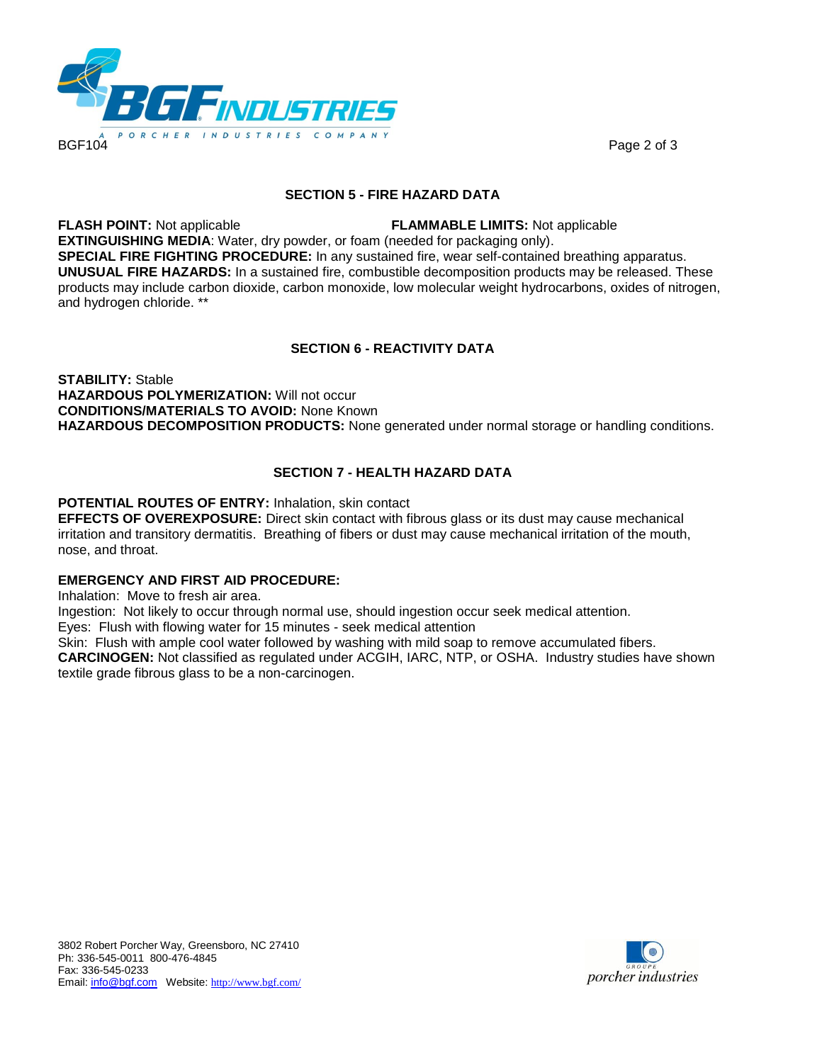

### **SECTION 5 - FIRE HAZARD DATA**

**FLASH POINT:** Not applicable **FLAMMABLE LIMITS:** Not applicable **EXTINGUISHING MEDIA**: Water, dry powder, or foam (needed for packaging only). **SPECIAL FIRE FIGHTING PROCEDURE:** In any sustained fire, wear self-contained breathing apparatus. **UNUSUAL FIRE HAZARDS:** In a sustained fire, combustible decomposition products may be released. These products may include carbon dioxide, carbon monoxide, low molecular weight hydrocarbons, oxides of nitrogen, and hydrogen chloride. \*\*

# **SECTION 6 - REACTIVITY DATA**

**STABILITY:** Stable **HAZARDOUS POLYMERIZATION:** Will not occur **CONDITIONS/MATERIALS TO AVOID:** None Known **HAZARDOUS DECOMPOSITION PRODUCTS:** None generated under normal storage or handling conditions.

## **SECTION 7 - HEALTH HAZARD DATA**

### **POTENTIAL ROUTES OF ENTRY:** Inhalation, skin contact

**EFFECTS OF OVEREXPOSURE:** Direct skin contact with fibrous glass or its dust may cause mechanical irritation and transitory dermatitis. Breathing of fibers or dust may cause mechanical irritation of the mouth, nose, and throat.

### **EMERGENCY AND FIRST AID PROCEDURE:**

Inhalation: Move to fresh air area.

Ingestion: Not likely to occur through normal use, should ingestion occur seek medical attention.

Eyes: Flush with flowing water for 15 minutes - seek medical attention

Skin: Flush with ample cool water followed by washing with mild soap to remove accumulated fibers. **CARCINOGEN:** Not classified as regulated under ACGIH, IARC, NTP, or OSHA. Industry studies have shown textile grade fibrous glass to be a non-carcinogen.